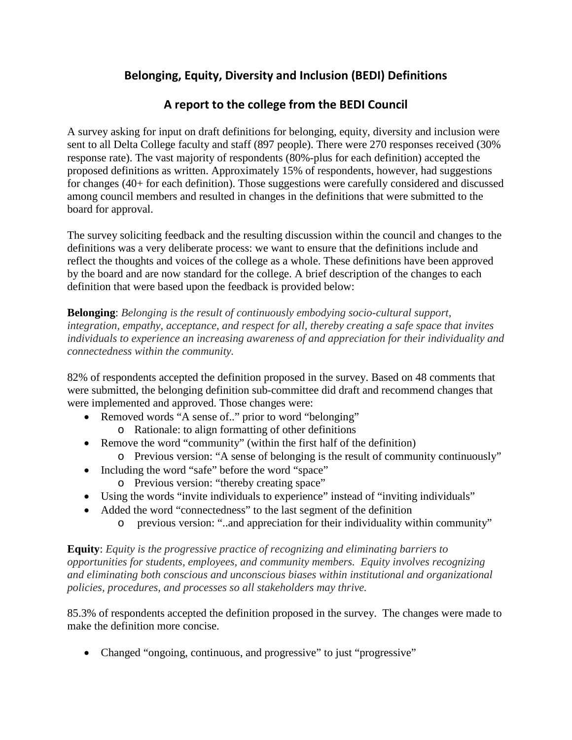## **Belonging, Equity, Diversity and Inclusion (BEDI) Definitions**

## **A report to the college from the BEDI Council**

A survey asking for input on draft definitions for belonging, equity, diversity and inclusion were sent to all Delta College faculty and staff (897 people). There were 270 responses received (30% response rate). The vast majority of respondents (80%-plus for each definition) accepted the proposed definitions as written. Approximately 15% of respondents, however, had suggestions for changes (40+ for each definition). Those suggestions were carefully considered and discussed among council members and resulted in changes in the definitions that were submitted to the board for approval.

The survey soliciting feedback and the resulting discussion within the council and changes to the definitions was a very deliberate process: we want to ensure that the definitions include and reflect the thoughts and voices of the college as a whole. These definitions have been approved by the board and are now standard for the college. A brief description of the changes to each definition that were based upon the feedback is provided below:

**Belonging**: *Belonging is the result of continuously embodying socio-cultural support, integration, empathy, acceptance, and respect for all, thereby creating a safe space that invites individuals to experience an increasing awareness of and appreciation for their individuality and connectedness within the community.*

82% of respondents accepted the definition proposed in the survey. Based on 48 comments that were submitted, the belonging definition sub-committee did draft and recommend changes that were implemented and approved. Those changes were:

- Removed words "A sense of.." prior to word "belonging" o Rationale: to align formatting of other definitions
- Remove the word "community" (within the first half of the definition)
	- o Previous version: "A sense of belonging is the result of community continuously"
- Including the word "safe" before the word "space"
	- o Previous version: "thereby creating space"
- Using the words "invite individuals to experience" instead of "inviting individuals"
- Added the word "connectedness" to the last segment of the definition
	- o previous version: "..and appreciation for their individuality within community"

**Equity**: *Equity is the progressive practice of recognizing and eliminating barriers to opportunities for students, employees, and community members. Equity involves recognizing and eliminating both conscious and unconscious biases within institutional and organizational policies, procedures, and processes so all stakeholders may thrive.*

85.3% of respondents accepted the definition proposed in the survey. The changes were made to make the definition more concise.

• Changed "ongoing, continuous, and progressive" to just "progressive"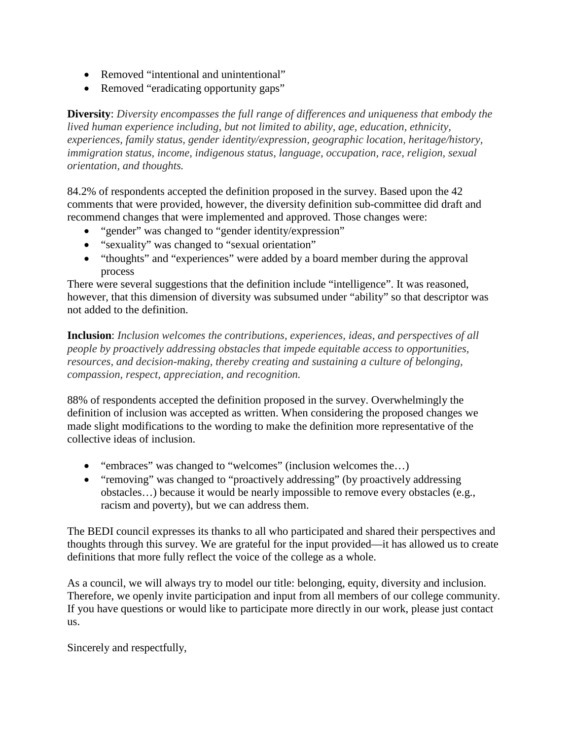- Removed "intentional and unintentional"
- Removed "eradicating opportunity gaps"

**Diversity**: *Diversity encompasses the full range of differences and uniqueness that embody the lived human experience including, but not limited to ability, age, education, ethnicity, experiences, family status, gender identity/expression, geographic location, heritage/history, immigration status, income, indigenous status, language, occupation, race, religion, sexual orientation, and thoughts.*

84.2% of respondents accepted the definition proposed in the survey. Based upon the 42 comments that were provided, however, the diversity definition sub-committee did draft and recommend changes that were implemented and approved. Those changes were:

- "gender" was changed to "gender identity/expression"
- "sexuality" was changed to "sexual orientation"
- "thoughts" and "experiences" were added by a board member during the approval process

There were several suggestions that the definition include "intelligence". It was reasoned, however, that this dimension of diversity was subsumed under "ability" so that descriptor was not added to the definition.

**Inclusion**: *Inclusion welcomes the contributions, experiences, ideas, and perspectives of all people by proactively addressing obstacles that impede equitable access to opportunities, resources, and decision-making, thereby creating and sustaining a culture of belonging, compassion, respect, appreciation, and recognition.*

88% of respondents accepted the definition proposed in the survey. Overwhelmingly the definition of inclusion was accepted as written. When considering the proposed changes we made slight modifications to the wording to make the definition more representative of the collective ideas of inclusion.

- "embraces" was changed to "welcomes" (inclusion welcomes the...)
- "removing" was changed to "proactively addressing" (by proactively addressing obstacles…) because it would be nearly impossible to remove every obstacles (e.g., racism and poverty), but we can address them.

The BEDI council expresses its thanks to all who participated and shared their perspectives and thoughts through this survey. We are grateful for the input provided—it has allowed us to create definitions that more fully reflect the voice of the college as a whole.

As a council, we will always try to model our title: belonging, equity, diversity and inclusion. Therefore, we openly invite participation and input from all members of our college community. If you have questions or would like to participate more directly in our work, please just contact us.

Sincerely and respectfully,